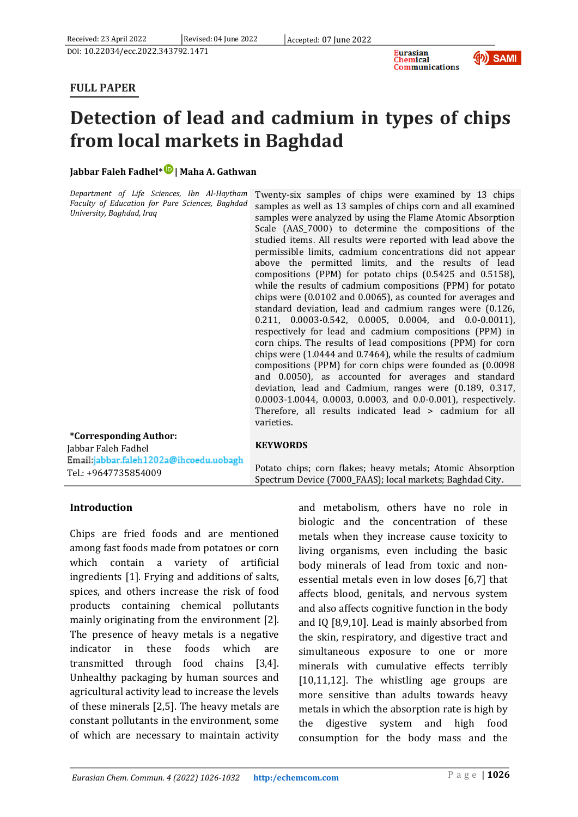



## **FULL PAPER**

# **Detection of lead and cadmium in types of chips from local markets in Baghdad**

## **Jabbar Faleh Fadhel\* [|](https://www.orcid.org/0000-0001-7914-4688) Maha A. Gathwan**

*Department of Life Sciences, Ibn Al-Haytham Faculty of Education for Pure Sciences, Baghdad University, Baghdad, Iraq*

Twenty-six samples of chips were examined by 13 chips samples as well as 13 samples of chips corn and all examined samples were analyzed by using the Flame Atomic Absorption Scale (AAS\_7000) to determine the compositions of the studied items. All results were reported with lead above the permissible limits, cadmium concentrations did not appear above the permitted limits, and the results of lead compositions (PPM) for potato chips (0.5425 and 0.5158), while the results of cadmium compositions (PPM) for potato chips were (0.0102 and 0.0065), as counted for averages and standard deviation, lead and cadmium ranges were (0.126, 0.211, 0.0003-0.542, 0.0005, 0.0004, and 0.0-0.0011), respectively for lead and cadmium compositions (PPM) in corn chips. The results of lead compositions (PPM) for corn chips were (1.0444 and 0.7464), while the results of cadmium compositions (PPM) for corn chips were founded as (0.0098 and 0.0050), as accounted for averages and standard deviation, lead and Cadmium, ranges were (0.189, 0.317, 0.0003-1.0044, 0.0003, 0.0003, and 0.0-0.001), respectively. Therefore, all results indicated lead > cadmium for all varieties.

#### **\*Corresponding Author:** Jabbar Faleh Fadhel Email:jabbar.faleh1202a@ihcoedu.uobagh

Tel.: +9647735854009

## **KEYWORDS**

Potato chips; corn flakes; heavy metals; Atomic Absorption Spectrum Device (7000\_FAAS); local markets; Baghdad City.

## **Introduction**

Chips are fried foods and are mentioned among fast foods made from potatoes or corn which contain a variety of artificial ingredients [1]. Frying and additions of salts, spices, and others increase the risk of food products containing chemical pollutants mainly originating from the environment [2]. The presence of heavy metals is a negative indicator in these foods which are transmitted through food chains [3,4]. Unhealthy packaging by human sources and agricultural activity lead to increase the levels of these minerals [2,5]. The heavy metals are constant pollutants in the environment, some of which are necessary to maintain activity

and metabolism, others have no role in biologic and the concentration of these metals when they increase cause toxicity to living organisms, even including the basic body minerals of lead from toxic and nonessential metals even in low doses [6,7] that affects blood, genitals, and nervous system and also affects cognitive function in the body and IQ [8,9,10]. Lead is mainly absorbed from the skin, respiratory, and digestive tract and simultaneous exposure to one or more minerals with cumulative effects terribly [10,11,12]. The whistling age groups are more sensitive than adults towards heavy metals in which the absorption rate is high by the digestive system and high food consumption for the body mass and the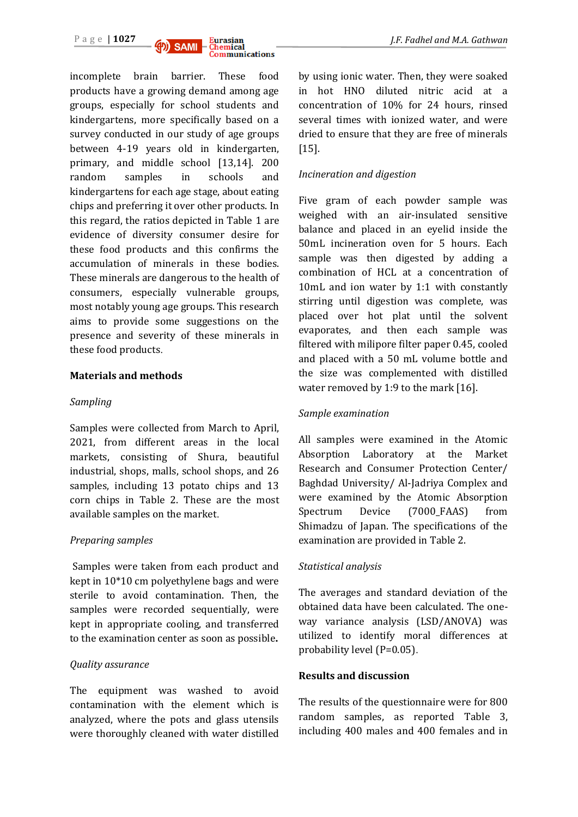

incomplete brain barrier. These food products have a growing demand among age groups, especially for school students and kindergartens, more specifically based on a survey conducted in our study of age groups between 4-19 years old in kindergarten, primary, and middle school [13,14]. 200 random samples in schools and kindergartens for each age stage, about eating chips and preferring it over other products. In this regard, the ratios depicted in Table 1 are evidence of diversity consumer desire for these food products and this confirms the accumulation of minerals in these bodies. These minerals are dangerous to the health of consumers, especially vulnerable groups, most notably young age groups. This research aims to provide some suggestions on the presence and severity of these minerals in these food products.

#### **Materials and methods**

#### *Sampling*

Samples were collected from March to April, 2021, from different areas in the local markets, consisting of Shura, beautiful industrial, shops, malls, school shops, and 26 samples, including 13 potato chips and 13 corn chips in Table 2. These are the most available samples on the market.

#### *Preparing samples*

Samples were taken from each product and kept in 10\*10 cm polyethylene bags and were sterile to avoid contamination. Then, the samples were recorded sequentially, were kept in appropriate cooling, and transferred to the examination center as soon as possible**.**

#### *Quality assurance*

The equipment was washed to avoid contamination with the element which is analyzed, where the pots and glass utensils were thoroughly cleaned with water distilled

by using ionic water. Then, they were soaked in hot HNO diluted nitric acid at a concentration of 10% for 24 hours, rinsed several times with ionized water, and were dried to ensure that they are free of minerals [15].

#### *Incineration and digestion*

Five gram of each powder sample was weighed with an air-insulated sensitive balance and placed in an eyelid inside the 50mL incineration oven for 5 hours. Each sample was then digested by adding a combination of HCL at a concentration of 10mL and ion water by 1:1 with constantly stirring until digestion was complete, was placed over hot plat until the solvent evaporates, and then each sample was filtered with milipore filter paper 0.45, cooled and placed with a 50 mL volume bottle and the size was complemented with distilled water removed by 1:9 to the mark [16].

#### *Sample examination*

All samples were examined in the Atomic Absorption Laboratory at the Market Research and Consumer Protection Center/ Baghdad University/ Al-Jadriya Complex and were examined by the Atomic Absorption Spectrum Device (7000\_FAAS) from Shimadzu of Japan. The specifications of the examination are provided in Table 2.

#### *Statistical analysis*

The averages and standard deviation of the obtained data have been calculated. The oneway variance analysis (LSD/ANOVA) was utilized to identify moral differences at probability level (P=0.05).

#### **Results and discussion**

The results of the questionnaire were for 800 random samples, as reported Table 3, including 400 males and 400 females and in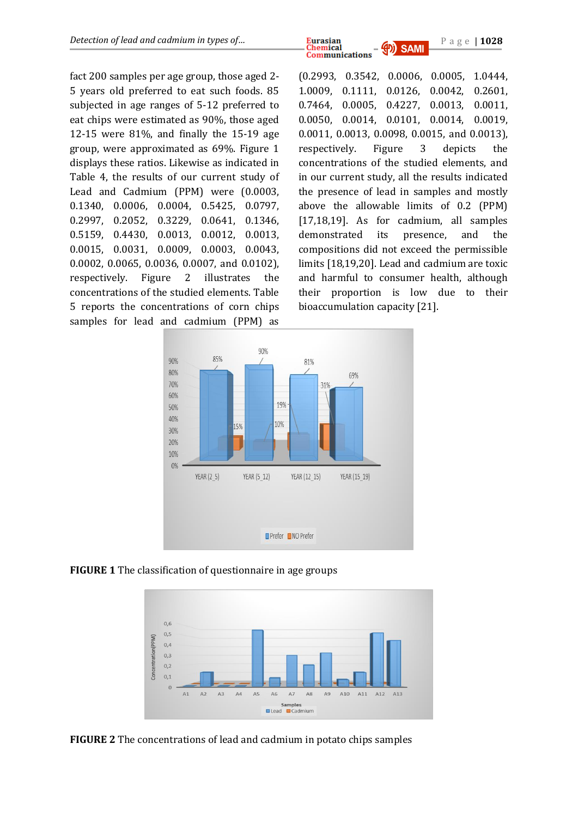*Detection of lead and cadmium in types of…* **Eurasian Chemical All <b>AD SAMI P** a g e | 1028 **Communications** 

fact 200 samples per age group, those aged 2- 5 years old preferred to eat such foods. 85 subjected in age ranges of 5-12 preferred to eat chips were estimated as 90%, those aged 12-15 were 81%, and finally the 15-19 age group, were approximated as 69%. Figure 1 displays these ratios. Likewise as indicated in Table 4, the results of our current study of Lead and Cadmium (PPM) were (0.0003, 0.1340, 0.0006, 0.0004, 0.5425, 0.0797, 0.2997, 0.2052, 0.3229, 0.0641, 0.1346, 0.5159, 0.4430, 0.0013, 0.0012, 0.0013, 0.0015, 0.0031, 0.0009, 0.0003, 0.0043, 0.0002, 0.0065, 0.0036, 0.0007, and 0.0102), respectively. Figure 2 illustrates the concentrations of the studied elements. Table 5 reports the concentrations of corn chips samples for lead and cadmium (PPM) as

(0.2993, 0.3542, 0.0006, 0.0005, 1.0444, 1.0009, 0.1111, 0.0126, 0.0042, 0.2601, 0.7464, 0.0005, 0.4227, 0.0013, 0.0011, 0.0050, 0.0014, 0.0101, 0.0014, 0.0019, 0.0011, 0.0013, 0.0098, 0.0015, and 0.0013), respectively. Figure 3 depicts the concentrations of the studied elements, and in our current study, all the results indicated the presence of lead in samples and mostly above the allowable limits of 0.2 (PPM) [17,18,19]. As for cadmium, all samples demonstrated its presence, and the compositions did not exceed the permissible limits [18,19,20]. Lead and cadmium are toxic and harmful to consumer health, although their proportion is low due to their bioaccumulation capacity [21].



**FIGURE 1** The classification of questionnaire in age groups



**FIGURE 2** The concentrations of lead and cadmium in potato chips samples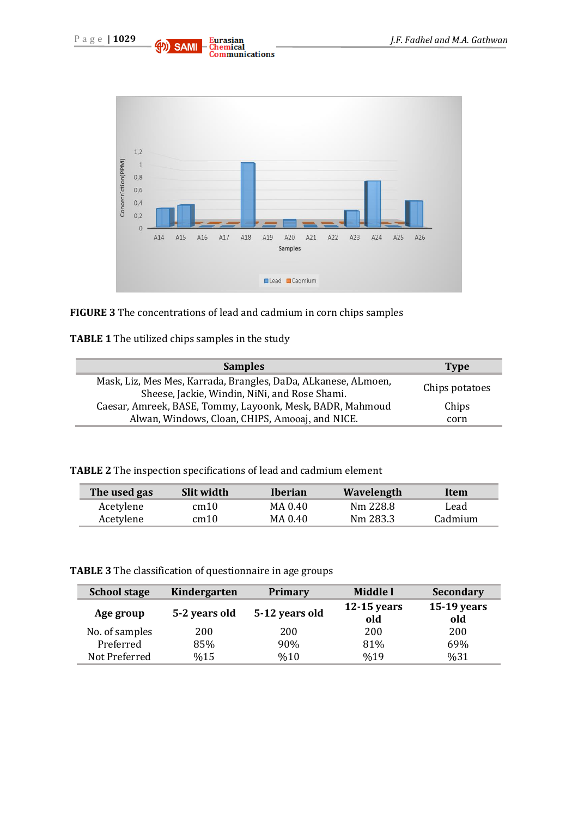



**FIGURE 3** The concentrations of lead and cadmium in corn chips samples

| TABLE 1 The utilized chips samples in the study |  |  |  |  |
|-------------------------------------------------|--|--|--|--|
|-------------------------------------------------|--|--|--|--|

| <b>Samples</b>                                                                                                  | <b>Type</b>    |
|-----------------------------------------------------------------------------------------------------------------|----------------|
| Mask, Liz, Mes Mes, Karrada, Brangles, DaDa, ALkanese, ALmoen,<br>Sheese, Jackie, Windin, NiNi, and Rose Shami. | Chips potatoes |
| Caesar, Amreek, BASE, Tommy, Layoonk, Mesk, BADR, Mahmoud                                                       | Chips          |
| Alwan, Windows, Cloan, CHIPS, Amooaj, and NICE.                                                                 | corn           |

| The used gas | Slit width | Iberian | Wavelength | Item    |
|--------------|------------|---------|------------|---------|
| Acetylene    | cm10       | MA 0.40 | Nm 228.8   | Lead    |
| Acetylene    | cm10       | MA 0.40 | Nm 283.3   | Cadmium |

**TABLE 3** The classification of questionnaire in age groups

| <b>School stage</b> | Kindergarten  | <b>Primary</b> | Middle l             | Secondary            |
|---------------------|---------------|----------------|----------------------|----------------------|
| Age group           | 5-2 years old | 5-12 years old | $12-15$ years<br>old | $15-19$ years<br>old |
| No. of samples      | 200           | 200            | 200                  | 200                  |
| Preferred           | 85%           | 90%            | 81%                  | 69%                  |
| Not Preferred       | %15           | %10            | %19                  | %31                  |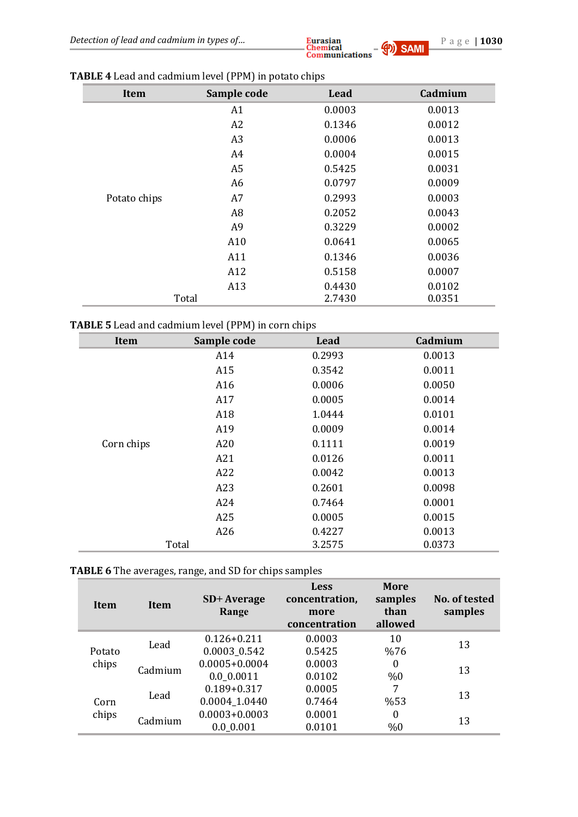| Item         | Sample code    | Lead   | Cadmium |
|--------------|----------------|--------|---------|
|              | A1             | 0.0003 | 0.0013  |
|              | A2             | 0.1346 | 0.0012  |
|              | A3             | 0.0006 | 0.0013  |
|              | A4             | 0.0004 | 0.0015  |
|              | A <sub>5</sub> | 0.5425 | 0.0031  |
|              | A <sub>6</sub> | 0.0797 | 0.0009  |
| Potato chips | A7             | 0.2993 | 0.0003  |
|              | A <sub>8</sub> | 0.2052 | 0.0043  |
|              | A <sub>9</sub> | 0.3229 | 0.0002  |
|              | A10            | 0.0641 | 0.0065  |
|              | A11            | 0.1346 | 0.0036  |
|              | A12            | 0.5158 | 0.0007  |
|              | A13            | 0.4430 | 0.0102  |
|              | Total          | 2.7430 | 0.0351  |

## **TABLE 4** Lead and cadmium level (PPM) in potato chips

## **TABLE 5** Lead and cadmium level (PPM) in corn chips

| Item       | Sample code | Lead   | Cadmium |
|------------|-------------|--------|---------|
|            | A14         | 0.2993 | 0.0013  |
|            | A15         | 0.3542 | 0.0011  |
|            | A16         | 0.0006 | 0.0050  |
|            | A17         | 0.0005 | 0.0014  |
|            | A18         | 1.0444 | 0.0101  |
|            | A19         | 0.0009 | 0.0014  |
| Corn chips | A20         | 0.1111 | 0.0019  |
|            | A21         | 0.0126 | 0.0011  |
|            | A22         | 0.0042 | 0.0013  |
|            | A23         | 0.2601 | 0.0098  |
|            | A24         | 0.7464 | 0.0001  |
|            | A25         | 0.0005 | 0.0015  |
|            | A26         | 0.4227 | 0.0013  |
|            | Total       | 3.2575 | 0.0373  |

## **TABLE 6** The averages, range, and SD for chips samples

| Item   | Item    | SD+ Average<br>Range | <b>Less</b><br>concentration,<br>more<br>concentration | <b>More</b><br>samples<br>than<br>allowed | No. of tested<br>samples |
|--------|---------|----------------------|--------------------------------------------------------|-------------------------------------------|--------------------------|
|        | Lead    | $0.126 + 0.211$      | 0.0003                                                 | 10                                        | 13                       |
| Potato |         | 0.0003_0.542         | 0.5425                                                 | %76                                       |                          |
| chips  | Cadmium | $0.0005 + 0.0004$    | 0.0003                                                 | $\boldsymbol{0}$                          | 13                       |
|        |         | 0.0 0.0011           | 0.0102                                                 | %0                                        |                          |
|        |         | $0.189 + 0.317$      | 0.0005                                                 | 7                                         |                          |
| Corn   | Lead    | 0.0004_1.0440        | 0.7464                                                 | %53                                       | 13                       |
| chips  |         | $0.0003 + 0.0003$    | 0.0001                                                 | $\boldsymbol{0}$                          |                          |
|        | Cadmium | 0.0 0.001            | 0.0101                                                 | %0                                        | 13                       |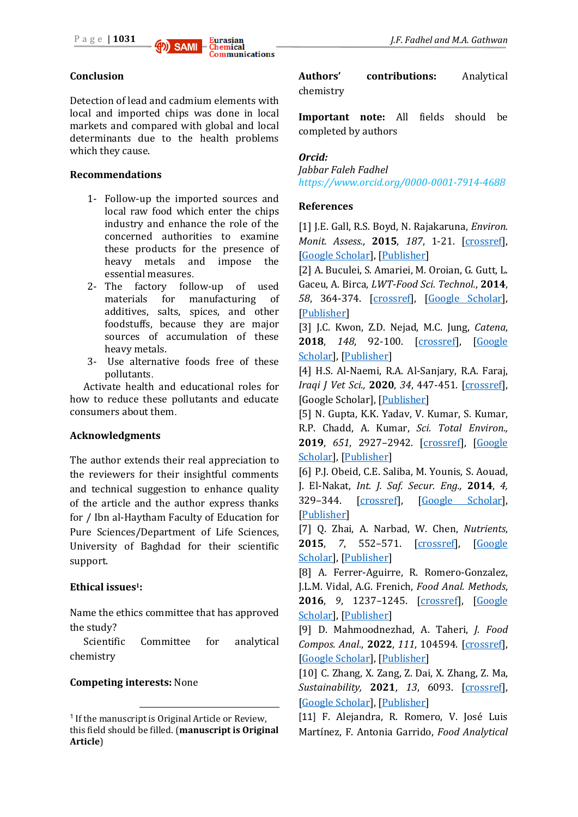

Detection of lead and cadmium elements with local and imported chips was done in local markets and compared with global and local determinants due to the health problems which they cause.

#### **Recommendations**

- 1- Follow-up the imported sources and local raw food which enter the chips industry and enhance the role of the concerned authorities to examine these products for the presence of heavy metals and impose the essential measures.
- 2- The factory follow-up of used materials for manufacturing of additives, salts, spices, and other foodstuffs, because they are major sources of accumulation of these heavy metals.
- 3- Use alternative foods free of these pollutants.

Activate health and educational roles for how to reduce these pollutants and educate consumers about them.

#### **Acknowledgments**

The author extends their real appreciation to the reviewers for their insightful comments and technical suggestion to enhance quality of the article and the author express thanks for / Ibn al-Haytham Faculty of Education for Pure Sciences/Department of Life Sciences, University of Baghdad for their scientific support.

#### **Ethical issues1:**

Name the ethics committee that has approved the study?

Scientific Committee for analytical chemistry

#### **Competing interests:** None

 $\overline{a}$ 

**Authors' contributions:** Analytical chemistry

**Important note:** All fields should be completed by authors

#### *Orcid:*

*Jabbar Faleh Fadhel <https://www.orcid.org/0000-0001-7914-4688>*

#### **References**

[1] J.E. Gall, R.S. Boyd, N. Rajakaruna, *Environ. Monit. Assess.*, **2015**, *187*, 1-21. [\[crossref\]](https://doi.org/10.1007/s10661-015-4436-3), [\[Google Scholar\]](https://scholar.google.com/scholar?hl=de&as_sdt=0%2C5&q=Transfer+of+heavy+metals+through+terrestrial+food+webs%3A+a+review&btnG=), [\[Publisher\]](https://link.springer.com/article/10.1007/s10661-015-4436-3)

[2] A. Buculei, S. Amariei, M. Oroian, G. Gutt, L. Gaceu, A. Birca, *LWT-Food Sci. Technol.*, **2014**, *58*, 364-374. [\[crossref\]](https://doi.org/10.1016/j.lwt.2013.06.003), [\[Google Scholar\]](https://scholar.google.com/scholar?hl=de&as_sdt=0%2C5&q=Metals+migration+between+product+and+metallic+package+in+canned+meat&btnG=), [\[Publisher\]](https://www.sciencedirect.com/science/article/pii/S0023643813002090?via%3Dihub)

[3] J.C. Kwon, Z.D. Nejad, M.C. Jung, *Catena*, **2018**, *148*, 92-100. [\[crossref\]](https://doi.org/10.1016/j.catena.2016.01.005), [\[Google](https://scholar.google.com/scholar?hl=de&as_sdt=0%2C5&q=Arsenic+and+heavy+metals+in+paddy+soil+and+polished+rice+contaminated+by+mining+activities+in+Korea&btnG=)  [Scholar\]](https://scholar.google.com/scholar?hl=de&as_sdt=0%2C5&q=Arsenic+and+heavy+metals+in+paddy+soil+and+polished+rice+contaminated+by+mining+activities+in+Korea&btnG=), [\[Publisher\]](https://www.sciencedirect.com/science/article/abs/pii/S0341816216300054?via%3Dihub)

[4] H.S. Al-Naemi, R.A. Al-Sanjary, R.A. Faraj, *Iraqi J Vet Sci.,* **2020**, *34*, 447-451. [\[crossref\]](https://doi.org/10.33899/ijvs.2019.126069.1224), [Google Scholar], [\[Publisher\]](https://vetmedmosul.com/article_164547.html)

[5] N. Gupta, K.K. Yadav, V. Kumar, S. Kumar, R.P. Chadd, A. Kumar, *Sci. Total Environ.,* **2019**, *651*, 2927–2942. [\[crossref\]](https://doi.org/10.1016/j.scitotenv.2018.10.047), [\[Google](https://scholar.google.com/scholar?hl=de&as_sdt=0%2C5&q=Trace+elements+in+soil-vegetables+interface%3A+Translocation%2C+bioaccumulation%2C+toxicity+and+amelioration+-+A+review&btnG=)  [Scholar\]](https://scholar.google.com/scholar?hl=de&as_sdt=0%2C5&q=Trace+elements+in+soil-vegetables+interface%3A+Translocation%2C+bioaccumulation%2C+toxicity+and+amelioration+-+A+review&btnG=), [\[Publisher\]](https://www.sciencedirect.com/science/article/abs/pii/S0048969718339202?via%3Dihub)

[6] P.J. Obeid, C.E. Saliba, M. Younis, S. Aouad, J. El-Nakat, *Int. J. Saf. Secur. Eng.,* **2014**, *4,* 329–344. [\[crossref\]](https://doi.org/10.2495/SAFE-V4-N4-329-344), [\[Google Scholar\]](https://scholar.google.com/scholar?hl=en&as_sdt=0%2C5&q=Determination+of+Levels+of+Lead+and+Cadmium+Contamination+in+Meat+Products+Sold+in+Northern+Lebanese+Markets&btnG=), [\[Publisher\]](https://www.iieta.org/journals/ijsse/paper/10.2495/SAFE-V4-N4-329-344)

[7] Q. Zhai, A. Narbad, W. Chen, *Nutrients*, **2015**, *7*, 552–571. [\[crossref\]](https://doi.org/10.3390/nu7010552), [\[Google](https://scholar.google.com/scholar?hl=de&as_sdt=0%2C5&q=Dietary+Strategies+for+the+Treatment+of+Cadmium+and+Lead+Toxicity&btnG=)  [Scholar\]](https://scholar.google.com/scholar?hl=de&as_sdt=0%2C5&q=Dietary+Strategies+for+the+Treatment+of+Cadmium+and+Lead+Toxicity&btnG=), [\[Publisher\]](https://www.mdpi.com/2072-6643/7/1/552)

[8] A. Ferrer-Aguirre, R. Romero-Gonzalez, J.L.M. Vidal, A.G. Frenich, *Food Anal. Methods*, **2016**, *9*, 1237–1245. [\[crossref\]](https://doi.org/10.1007/s12161-015-0304-6), [\[Google](https://scholar.google.com/scholar?hl=de&as_sdt=0%2C5&q=Simple+and+Fast+Determination+of+Acrylamide+and+Metabolites+in+Potato+Chips+and+Grilled+Asparagus+by+Liquid+Chromatography+Coupled+to+Mass+Spectrometry&btnG=)  [Scholar\]](https://scholar.google.com/scholar?hl=de&as_sdt=0%2C5&q=Simple+and+Fast+Determination+of+Acrylamide+and+Metabolites+in+Potato+Chips+and+Grilled+Asparagus+by+Liquid+Chromatography+Coupled+to+Mass+Spectrometry&btnG=), [\[Publisher\]](https://link.springer.com/article/10.1007/s12161-015-0304-6#citeas)

[9] D. Mahmoodnezhad, A. Taheri, *J. Food Compos. Anal.*, **2022**, *111*, 104594. [\[crossref\]](https://doi.org/10.1016/j.jfca.2022.104594), [\[Google Scholar\]](https://scholar.google.com/scholar?hl=de&as_sdt=0%2C5&q=Development+of+a+new+methodology+for+determination+of+Cd%2C+Ni%2C+and+Co+at+trace+levels+by+mixed+ultrasonic-assisted+cloud+point%2Fsolid+phase+extraction+in+micro+micellar+media%3A+Optimization+through+response+surface+methodology&btnG=), [\[Publisher\]](https://www.sciencedirect.com/science/article/abs/pii/S0889157522002125?via%3Dihub)

[10] C. Zhang, X. Zang, Z. Dai, X. Zhang, Z. Ma, *Sustainability,* **2021**, *13*, 6093. [\[crossref\]](https://doi.org/10.3390/su13116093), [\[Google Scholar\]](https://scholar.google.com/scholar?hl=en&as_sdt=0%2C5&q=Remediation+Techniques+for+Cadmium-Contaminated+Dredged+River+Sediments+after+Land+Disposal&btnG=), [\[Publisher\]](https://www.mdpi.com/2071-1050/13/11/6093)

[11] F. Alejandra, R. Romero, V. José Luis Martínez, F. Antonia Garrido, *Food Analytical* 

<sup>&</sup>lt;sup>1</sup> If the manuscript is Original Article or Review, this field should be filled. (**manuscript is Original Article**)